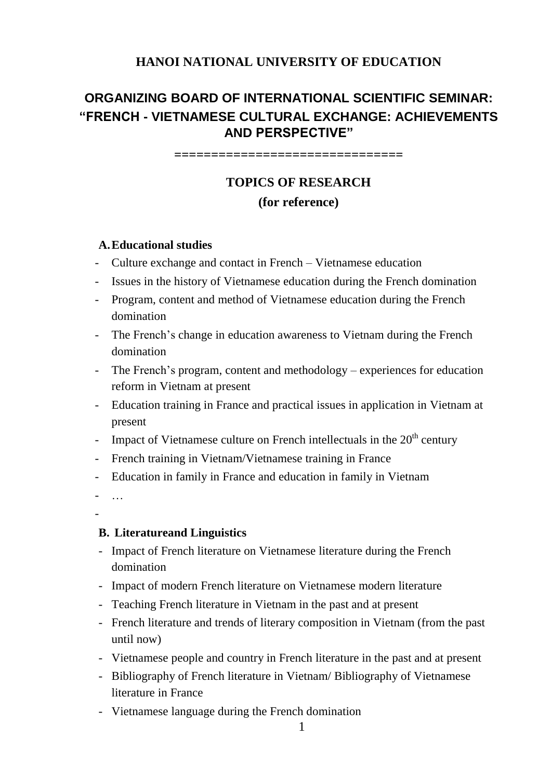## **HANOI NATIONAL UNIVERSITY OF EDUCATION**

## **ORGANIZING BOARD OF INTERNATIONAL SCIENTIFIC SEMINAR: "FRENCH - VIETNAMESE CULTURAL EXCHANGE: ACHIEVEMENTS AND PERSPECTIVE"**

**===============================**

# **TOPICS OF RESEARCH (for reference)**

#### **A.Educational studies**

- Culture exchange and contact in French Vietnamese education
- Issues in the history of Vietnamese education during the French domination
- Program, content and method of Vietnamese education during the French domination
- The French's change in education awareness to Vietnam during the French domination
- The French's program, content and methodology experiences for education reform in Vietnam at present
- Education training in France and practical issues in application in Vietnam at present
- Impact of Vietnamese culture on French intellectuals in the  $20<sup>th</sup>$  century
- French training in Vietnam/Vietnamese training in France
- Education in family in France and education in family in Vietnam

- …

-

#### **B. Literatureand Linguistics**

- Impact of French literature on Vietnamese literature during the French domination
- Impact of modern French literature on Vietnamese modern literature
- Teaching French literature in Vietnam in the past and at present
- French literature and trends of literary composition in Vietnam (from the past until now)
- Vietnamese people and country in French literature in the past and at present
- Bibliography of French literature in Vietnam/ Bibliography of Vietnamese literature in France
- Vietnamese language during the French domination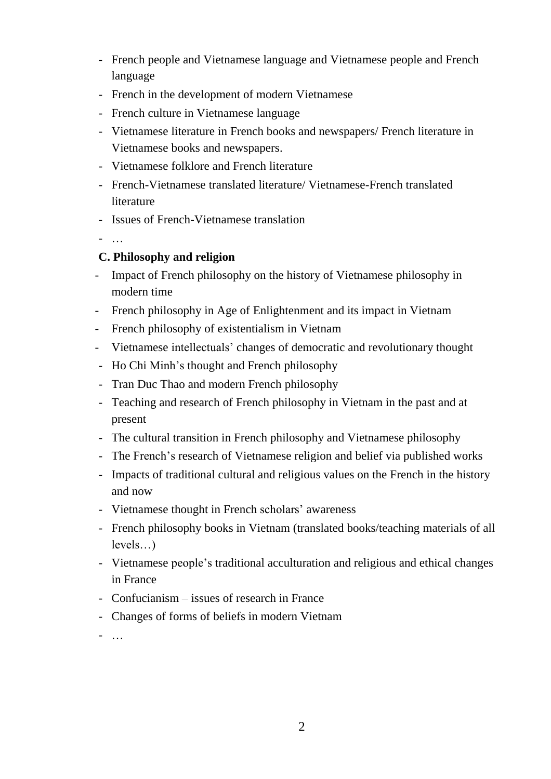- French people and Vietnamese language and Vietnamese people and French language
- French in the development of modern Vietnamese
- French culture in Vietnamese language
- Vietnamese literature in French books and newspapers/ French literature in Vietnamese books and newspapers.
- Vietnamese folklore and French literature
- French-Vietnamese translated literature/ Vietnamese-French translated literature
- Issues of French-Vietnamese translation

- …

#### **C. Philosophy and religion**

- Impact of French philosophy on the history of Vietnamese philosophy in modern time
- French philosophy in Age of Enlightenment and its impact in Vietnam
- French philosophy of existentialism in Vietnam
- Vietnamese intellectuals' changes of democratic and revolutionary thought
- Ho Chi Minh's thought and French philosophy
- Tran Duc Thao and modern French philosophy
- Teaching and research of French philosophy in Vietnam in the past and at present
- The cultural transition in French philosophy and Vietnamese philosophy
- The French's research of Vietnamese religion and belief via published works
- Impacts of traditional cultural and religious values on the French in the history and now
- Vietnamese thought in French scholars' awareness
- French philosophy books in Vietnam (translated books/teaching materials of all levels…)
- Vietnamese people's traditional acculturation and religious and ethical changes in France
- Confucianism issues of research in France
- Changes of forms of beliefs in modern Vietnam
- …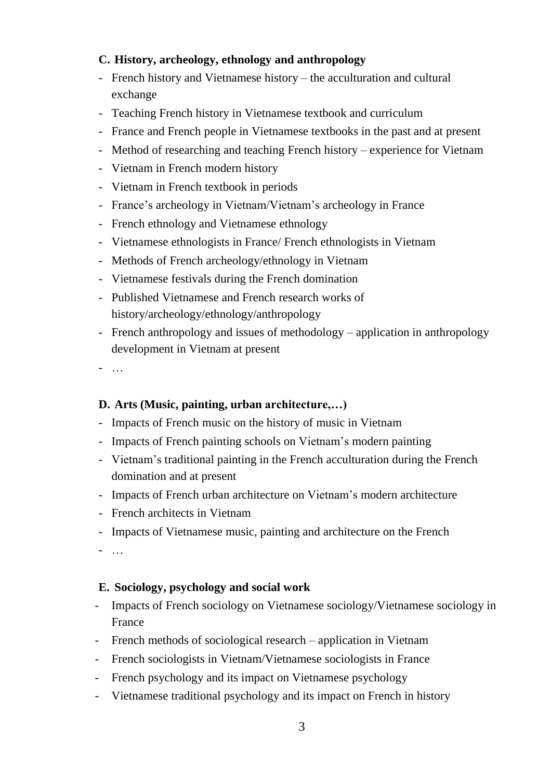### **C. History, archeology, ethnology and anthropology**

- French history and Vietnamese history the acculturation and cultural exchange
- Teaching French history in Vietnamese textbook and curriculum
- France and French people in Vietnamese textbooks in the past and at present
- Method of researching and teaching French history experience for Vietnam
- Vietnam in French modern history
- Vietnam in French textbook in periods
- France's archeology in Vietnam/Vietnam's archeology in France
- French ethnology and Vietnamese ethnology
- Vietnamese ethnologists in France/ French ethnologists in Vietnam
- Methods of French archeology/ethnology in Vietnam
- Vietnamese festivals during the French domination
- Published Vietnamese and French research works of history/archeology/ethnology/anthropology
- French anthropology and issues of methodology application in anthropology development in Vietnam at present
- …

#### **D. Arts (Music, painting, urban architecture,…)**

- Impacts of French music on the history of music in Vietnam
- Impacts of French painting schools on Vietnam's modern painting
- Vietnam's traditional painting in the French acculturation during the French domination and at present
- Impacts of French urban architecture on Vietnam's modern architecture
- French architects in Vietnam
- Impacts of Vietnamese music, painting and architecture on the French
- …

#### **E. Sociology, psychology and social work**

- Impacts of French sociology on Vietnamese sociology/Vietnamese sociology in France
- French methods of sociological research application in Vietnam
- French sociologists in Vietnam/Vietnamese sociologists in France
- French psychology and its impact on Vietnamese psychology
- Vietnamese traditional psychology and its impact on French in history